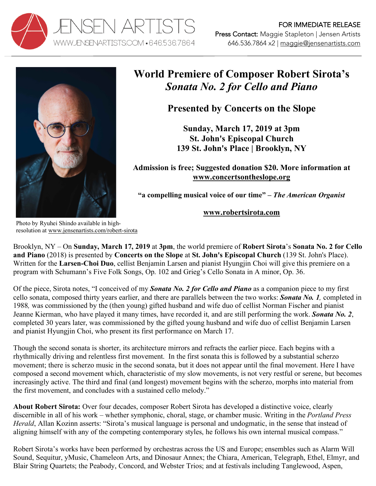



## **World Premiere of Composer Robert Sirota's**  *Sonata No. 2 for Cello and Piano*

**Presented by Concerts on the Slope**

**Sunday, March 17, 2019 at 3pm St. John's Episcopal Church 139 St. John's Place | Brooklyn, NY**

**Admission is free; Suggested donation \$20. More information at www.concertsontheslope.org**

**"a compelling musical voice of our time" –** *The American Organist*

## **www.robertsirota.com**

Photo by Ryuhei Shindo available in highresolution at www.jensenartists.com/robert-sirota

Brooklyn, NY – On **Sunday, March 17, 2019** at **3pm**, the world premiere of **Robert Sirota**'s **Sonata No. 2 for Cello and Piano** (2018) is presented by **Concerts on the Slope** at **St. John's Episcopal Church** (139 St. John's Place). Written for the **Larsen-Choi Duo**, cellist Benjamin Larsen and pianist Hyungjin Choi will give this premiere on a program with Schumann's Five Folk Songs, Op. 102 and Grieg's Cello Sonata in A minor, Op. 36.

Of the piece, Sirota notes, "I conceived of my *Sonata No. 2 for Cello and Piano* as a companion piece to my first cello sonata, composed thirty years earlier, and there are parallels between the two works: *Sonata No. 1,* completed in 1988*,* was commissioned by the (then young) gifted husband and wife duo of cellist Norman Fischer and pianist Jeanne Kierman, who have played it many times, have recorded it, and are still performing the work. *Sonata No. 2*, completed 30 years later, was commissioned by the gifted young husband and wife duo of cellist Benjamin Larsen and pianist Hyungjin Choi, who present its first performance on March 17.

Though the second sonata is shorter, its architecture mirrors and refracts the earlier piece. Each begins with a rhythmically driving and relentless first movement. In the first sonata this is followed by a substantial scherzo movement; there is scherzo music in the second sonata, but it does not appear until the final movement. Here I have composed a second movement which, characteristic of my slow movements, is not very restful or serene, but becomes increasingly active. The third and final (and longest) movement begins with the scherzo, morphs into material from the first movement, and concludes with a sustained cello melody."

**About Robert Sirota:** Over four decades, composer Robert Sirota has developed a distinctive voice, clearly discernible in all of his work – whether symphonic, choral, stage, or chamber music. Writing in the *Portland Press Herald*, Allan Kozinn asserts: "Sirota's musical language is personal and undogmatic, in the sense that instead of aligning himself with any of the competing contemporary styles, he follows his own internal musical compass."

Robert Sirota's works have been performed by orchestras across the US and Europe; ensembles such as Alarm Will Sound, Sequitur, yMusic, Chameleon Arts, and Dinosaur Annex; the Chiara, American, Telegraph, Ethel, Elmyr, and Blair String Quartets; the Peabody, Concord, and Webster Trios; and at festivals including Tanglewood, Aspen,